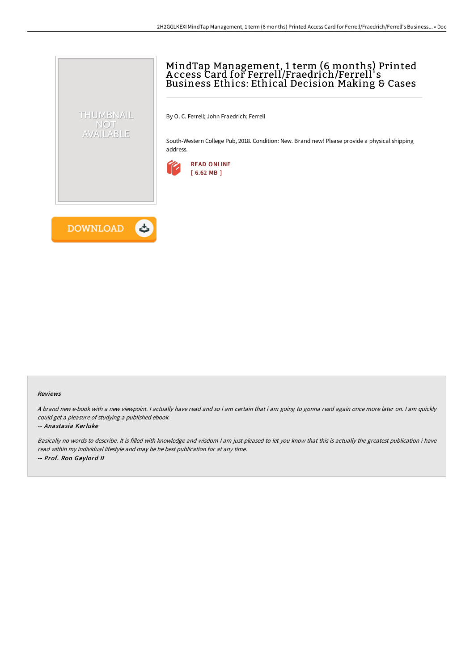# MindTap Management, 1 term (6 months) Printed A ccess Card for Ferrell/Fraedrich/Ferrell' s Business Ethics: Ethical Decision Making & Cases

By O. C. Ferrell; John Fraedrich; Ferrell

South-Western College Pub, 2018. Condition: New. Brand new! Please provide a physical shipping address.





THUMBNAIL NOT AVAILABLE

#### Reviews

A brand new e-book with <sup>a</sup> new viewpoint. I actually have read and so i am certain that i am going to gonna read again once more later on. I am quickly could get <sup>a</sup> pleasure of studying <sup>a</sup> published ebook.

#### -- Anastasia Kerluke

Basically no words to describe. It is filled with knowledge and wisdom <sup>I</sup> am just pleased to let you know that this is actually the greatest publication i have read within my individual lifestyle and may be he best publication for at any time. -- Prof. Ron Gaylord II